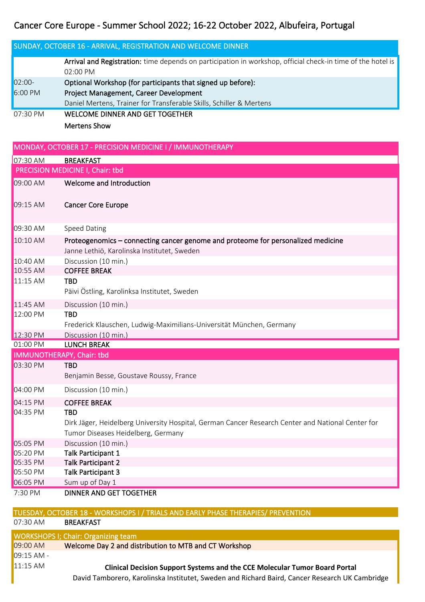## Cancer Core Europe - Summer School 2022; 16-22 October 2022, Albufeira, Portugal

|          | Cancer Core Europe - Summer School 2022; 16-22 October 2022, Albureira, Portugal                                                        |  |  |
|----------|-----------------------------------------------------------------------------------------------------------------------------------------|--|--|
|          | SUNDAY, OCTOBER 16 - ARRIVAL, REGISTRATION AND WELCOME DINNER                                                                           |  |  |
|          | Arrival and Registration: time depends on participation in workshop, official check-in time of the hotel is<br>02:00 PM                 |  |  |
| $02:00-$ | Optional Workshop (for participants that signed up before):                                                                             |  |  |
| 6:00 PM  | Project Management, Career Development                                                                                                  |  |  |
|          | Daniel Mertens, Trainer for Transferable Skills, Schiller & Mertens                                                                     |  |  |
| 07:30 PM | <b>WELCOME DINNER AND GET TOGETHER</b>                                                                                                  |  |  |
|          | <b>Mertens Show</b>                                                                                                                     |  |  |
|          | MONDAY, OCTOBER 17 - PRECISION MEDICINE I / IMMUNOTHERAPY                                                                               |  |  |
| 07:30 AM | <b>BREAKFAST</b>                                                                                                                        |  |  |
|          | PRECISION MEDICINE I, Chair: tbd                                                                                                        |  |  |
| 09:00 AM | Welcome and Introduction                                                                                                                |  |  |
| 09:15 AM | <b>Cancer Core Europe</b>                                                                                                               |  |  |
| 09:30 AM | <b>Speed Dating</b>                                                                                                                     |  |  |
| 10:10 AM | Proteogenomics - connecting cancer genome and proteome for personalized medicine<br>Janne Lethiö, Karolinska Institutet, Sweden         |  |  |
| 10:40 AM | Discussion (10 min.)                                                                                                                    |  |  |
| 10:55 AM | <b>COFFEE BREAK</b>                                                                                                                     |  |  |
| 11:15 AM | <b>TBD</b>                                                                                                                              |  |  |
|          | Päivi Östling, Karolinksa Institutet, Sweden                                                                                            |  |  |
| 11:45 AM | Discussion (10 min.)                                                                                                                    |  |  |
| 12:00 PM | <b>TBD</b>                                                                                                                              |  |  |
|          | Frederick Klauschen, Ludwig-Maximilians-Universität München, Germany                                                                    |  |  |
| 12:30 PM | Discussion (10 min.)                                                                                                                    |  |  |
| 01:00 PM | <b>LUNCH BREAK</b>                                                                                                                      |  |  |
|          | IMMUNOTHERAPY, Chair: tbd                                                                                                               |  |  |
| 03:30 PM | <b>TBD</b>                                                                                                                              |  |  |
|          | Benjamin Besse, Goustave Roussy, France                                                                                                 |  |  |
| 04:00 PM | Discussion (10 min.)                                                                                                                    |  |  |
| 04:15 PM | <b>COFFEE BREAK</b>                                                                                                                     |  |  |
| 04:35 PM | <b>TBD</b>                                                                                                                              |  |  |
|          | Dirk Jäger, Heidelberg University Hospital, German Cancer Research Center and National Center for<br>Tumor Diseases Heidelberg, Germany |  |  |
| 05:05 PM |                                                                                                                                         |  |  |
| 05:20 PM | Discussion (10 min.)<br><b>Talk Participant 1</b>                                                                                       |  |  |
| 05:35 PM | <b>Talk Participant 2</b>                                                                                                               |  |  |
| 05:50 PM | <b>Talk Participant 3</b>                                                                                                               |  |  |
| 06:05 PM | Sum up of Day 1                                                                                                                         |  |  |
| 7:30 PM  | DINNER AND GET TOGETHER                                                                                                                 |  |  |

## TUESDAY, OCTOBER 18 - WORKSHOPS I / TRIALS AND EARLY PHASE THERAPIES/ PREVENTION

07:30 AM BREAKFAST

| <b>WORKSHOPS I; Chair: Organizing team</b> |                                                                                                |  |
|--------------------------------------------|------------------------------------------------------------------------------------------------|--|
| 09:00 AM                                   | Welcome Day 2 and distribution to MTB and CT Workshop                                          |  |
| $109:15$ AM -                              |                                                                                                |  |
| $11:15$ AM                                 | <b>Clinical Decision Support Systems and the CCE Molecular Tumor Board Portal</b>              |  |
|                                            | David Tamborero, Karolinska Institutet, Sweden and Richard Baird, Cancer Research UK Cambridge |  |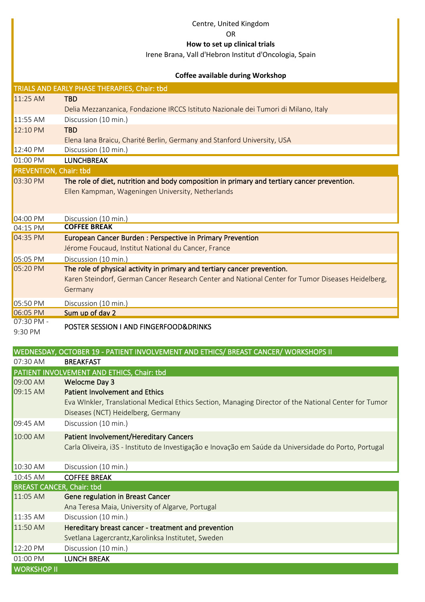|                                  | Centre, United Kingdom                                                                                 |
|----------------------------------|--------------------------------------------------------------------------------------------------------|
|                                  | <b>OR</b>                                                                                              |
|                                  | How to set up clinical trials                                                                          |
|                                  | Irene Brana, Vall d'Hebron Institut d'Oncologia, Spain                                                 |
|                                  |                                                                                                        |
|                                  | <b>Coffee available during Workshop</b>                                                                |
|                                  | TRIALS AND EARLY PHASE THERAPIES, Chair: tbd                                                           |
| 11:25 AM                         | <b>TBD</b>                                                                                             |
|                                  | Delia Mezzanzanica, Fondazione IRCCS Istituto Nazionale dei Tumori di Milano, Italy                    |
| 11:55 AM                         | Discussion (10 min.)                                                                                   |
| 12:10 PM                         | <b>TBD</b>                                                                                             |
|                                  | Elena Iana Braicu, Charité Berlin, Germany and Stanford University, USA                                |
| 12:40 PM                         | Discussion (10 min.)                                                                                   |
| 01:00 PM                         | <b>LUNCHBREAK</b>                                                                                      |
| <b>PREVENTION, Chair: tbd</b>    |                                                                                                        |
| 03:30 PM                         | The role of diet, nutrition and body composition in primary and tertiary cancer prevention.            |
|                                  | Ellen Kampman, Wageningen University, Netherlands                                                      |
|                                  |                                                                                                        |
| 04:00 PM                         | Discussion (10 min.)                                                                                   |
| 04:15 PM                         | <b>COFFEE BREAK</b>                                                                                    |
| 04:35 PM                         | <b>European Cancer Burden: Perspective in Primary Prevention</b>                                       |
|                                  | Jérome Foucaud, Institut National du Cancer, France                                                    |
| 05:05 PM                         | Discussion (10 min.)                                                                                   |
| 05:20 PM                         | The role of physical activity in primary and tertiary cancer prevention.                               |
|                                  | Karen Steindorf, German Cancer Research Center and National Center for Tumor Diseases Heidelberg,      |
|                                  | Germany                                                                                                |
| 05:50 PM                         | Discussion (10 min.)                                                                                   |
| 06:05 PM                         | Sum up of day 2                                                                                        |
| 07:30 PM -                       |                                                                                                        |
| 9:30 PM                          | POSTER SESSION I AND FINGERFOOD&DRINKS                                                                 |
|                                  |                                                                                                        |
|                                  | WEDNESDAY, OCTOBER 19 - PATIENT INVOLVEMENT AND ETHICS/ BREAST CANCER/ WORKSHOPS II                    |
| 07:30 AM                         | <b>BREAKFAST</b>                                                                                       |
|                                  | PATIENT INVOLVEMENT AND ETHICS, Chair: tbd                                                             |
| 09:00 AM                         | <b>Welocme Day 3</b>                                                                                   |
| 09:15 AM                         | <b>Patient Involvement and Ethics</b>                                                                  |
|                                  | Eva WInkler, Translational Medical Ethics Section, Managing Director of the National Center for Tumor  |
|                                  | Diseases (NCT) Heidelberg, Germany                                                                     |
| 09:45 AM                         | Discussion (10 min.)                                                                                   |
| 10:00 AM                         | <b>Patient Involvement/Hereditary Cancers</b>                                                          |
|                                  | Carla Oliveira, i3S - Instituto de Investigação e Inovação em Saúde da Universidade do Porto, Portugal |
|                                  |                                                                                                        |
| 10:30 AM                         | Discussion (10 min.)                                                                                   |
| 10:45 AM                         | <b>COFFEE BREAK</b>                                                                                    |
| <b>BREAST CANCER, Chair: tbd</b> |                                                                                                        |

11:05 AM Gene regulation in Breast Cancer Ana Teresa Maia, University of Algarve, Portugal 11:35 AM Discussion (10 min.) 11:50 AM Hereditary breast cancer - treatment and prevention Svetlana Lagercrantz,Karolinksa Institutet, Sweden 12:20 PM Discussion (10 min.) 01:00 PM LUNCH BREAK WORKSHOP II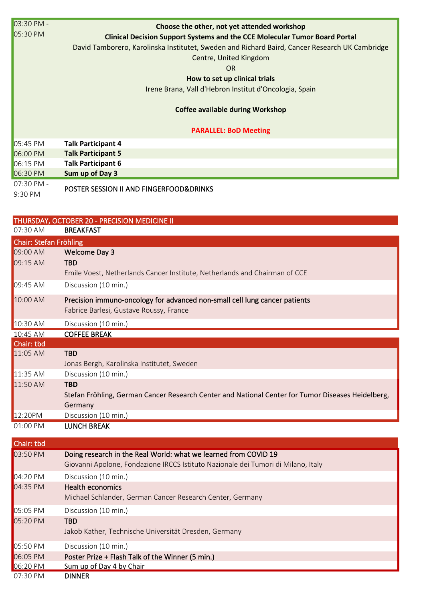| 03:30 PM -<br>05:30 PM | Choose the other, not yet attended workshop<br><b>Clinical Decision Support Systems and the CCE Molecular Tumor Board Portal</b><br>David Tamborero, Karolinska Institutet, Sweden and Richard Baird, Cancer Research UK Cambridge<br>Centre, United Kingdom<br><b>OR</b><br>How to set up clinical trials<br>Irene Brana, Vall d'Hebron Institut d'Oncologia, Spain<br><b>Coffee available during Workshop</b> |
|------------------------|-----------------------------------------------------------------------------------------------------------------------------------------------------------------------------------------------------------------------------------------------------------------------------------------------------------------------------------------------------------------------------------------------------------------|
|                        | <b>PARALLEL: BoD Meeting</b>                                                                                                                                                                                                                                                                                                                                                                                    |
| 05:45 PM               | <b>Talk Participant 4</b>                                                                                                                                                                                                                                                                                                                                                                                       |
| 06:00 PM               | <b>Talk Participant 5</b>                                                                                                                                                                                                                                                                                                                                                                                       |
| 06:15 PM               | <b>Talk Participant 6</b>                                                                                                                                                                                                                                                                                                                                                                                       |
| 06:30 PM               | Sum up of Day 3                                                                                                                                                                                                                                                                                                                                                                                                 |
| 07:30 PM -             | $\cdots$ $\cdots$ $\cdots$ $\cdots$                                                                                                                                                                                                                                                                                                                                                                             |

9:30 PM

POSTER SESSION II AND FINGERFOOD&DRINKS

|                        | THURSDAY, OCTOBER 20 - PRECISION MEDICINE II                                                                                                         |
|------------------------|------------------------------------------------------------------------------------------------------------------------------------------------------|
| 07:30 AM               | <b>BREAKFAST</b>                                                                                                                                     |
| Chair: Stefan Fröhling |                                                                                                                                                      |
| 09:00 AM               | <b>Welcome Day 3</b>                                                                                                                                 |
| 09:15 AM               | <b>TBD</b>                                                                                                                                           |
|                        | Emile Voest, Netherlands Cancer Institute, Netherlands and Chairman of CCE                                                                           |
| 09:45 AM               | Discussion (10 min.)                                                                                                                                 |
| 10:00 AM               | Precision immuno-oncology for advanced non-small cell lung cancer patients<br>Fabrice Barlesi, Gustave Roussy, France                                |
| 10:30 AM               | Discussion (10 min.)                                                                                                                                 |
| 10:45 AM               | <b>COFFEE BREAK</b>                                                                                                                                  |
| Chair: tbd             |                                                                                                                                                      |
| 11:05 AM               | <b>TBD</b><br>Jonas Bergh, Karolinska Institutet, Sweden                                                                                             |
| 11:35 AM               | Discussion (10 min.)                                                                                                                                 |
| 11:50 AM               | <b>TBD</b><br>Stefan Fröhling, German Cancer Research Center and National Center for Tumor Diseases Heidelberg,                                      |
| 12:20PM                | Germany<br>Discussion (10 min.)                                                                                                                      |
| 01:00 PM               | <b>LUNCH BREAK</b>                                                                                                                                   |
|                        |                                                                                                                                                      |
| Chair: tbd             |                                                                                                                                                      |
| 03:50 PM               | Doing research in the Real World: what we learned from COVID 19<br>Giovanni Apolone, Fondazione IRCCS Istituto Nazionale dei Tumori di Milano, Italy |
| 04:20 PM               | Discussion (10 min.)                                                                                                                                 |
| 04:35 PM               | <b>Health economics</b><br>Michael Schlander, German Cancer Research Center, Germany                                                                 |
| 05:05 PM               | Discussion (10 min.)                                                                                                                                 |
| 05:20 PM               | <b>TBD</b><br>Jakob Kather, Technische Universität Dresden, Germany                                                                                  |
| 05:50 PM               | Discussion (10 min.)                                                                                                                                 |

06:20 PM Sum up of Day 4 by Chair<br>07:30 PM DINNER  $07:30$  PM

06:05 PM Poster Prize + Flash Talk of the Winner (5 min.)